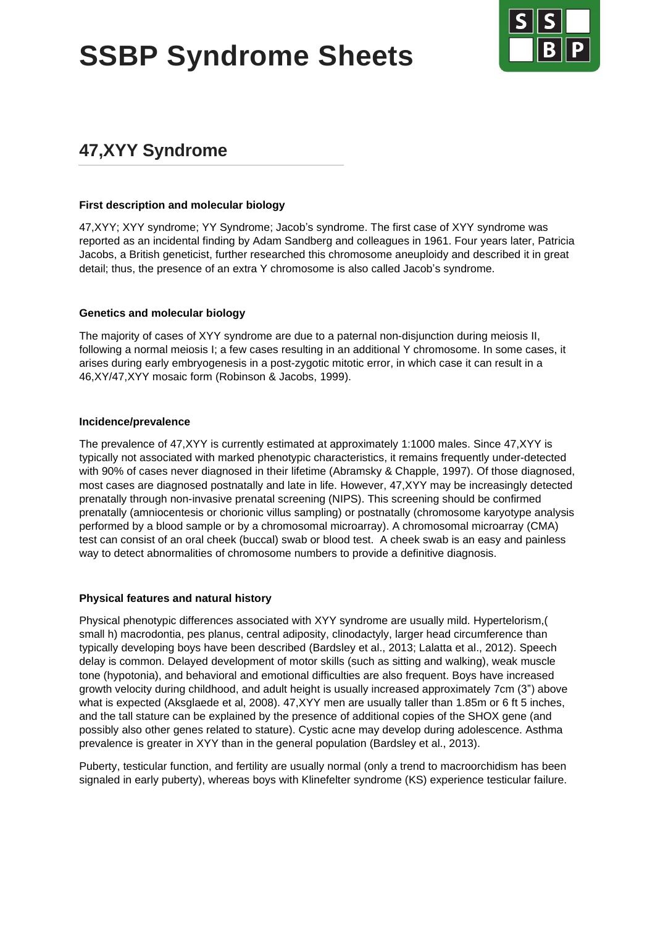**SSBP Syndrome Sheets**



# **47,XYY Syndrome**

#### **First description and molecular biology**

47,XYY; XYY syndrome; YY Syndrome; Jacob's syndrome. The first case of XYY syndrome was reported as an incidental finding by Adam Sandberg and colleagues in 1961. Four years later, Patricia Jacobs, a British geneticist, further researched this chromosome aneuploidy and described it in great detail; thus, the presence of an extra Y chromosome is also called Jacob's syndrome.

#### **Genetics and molecular biology**

The majority of cases of XYY syndrome are due to a paternal non-disjunction during meiosis II, following a normal meiosis I; a few cases resulting in an additional Y chromosome. In some cases, it arises during early embryogenesis in a post-zygotic mitotic error, in which case it can result in a 46,XY/47,XYY mosaic form (Robinson & Jacobs, 1999).

#### **Incidence/prevalence**

The prevalence of 47,XYY is currently estimated at approximately 1:1000 males. Since 47,XYY is typically not associated with marked phenotypic characteristics, it remains frequently under-detected with 90% of cases never diagnosed in their lifetime (Abramsky & Chapple, 1997). Of those diagnosed, most cases are diagnosed postnatally and late in life. However, 47,XYY may be increasingly detected prenatally through non-invasive prenatal screening (NIPS). This screening should be confirmed prenatally (amniocentesis or chorionic villus sampling) or postnatally (chromosome karyotype analysis performed by a blood sample or by a chromosomal microarray). A chromosomal microarray (CMA) test can consist of an oral cheek (buccal) swab or blood test. A cheek swab is an easy and painless way to detect abnormalities of chromosome numbers to provide a definitive diagnosis.

#### **Physical features and natural history**

Physical phenotypic differences associated with XYY syndrome are usually mild. Hypertelorism,( small h) macrodontia, pes planus, central adiposity, clinodactyly, larger head circumference than typically developing boys have been described (Bardsley et al., 2013; Lalatta et al., 2012). Speech delay is common. Delayed development of motor skills (such as sitting and walking), weak muscle tone (hypotonia), and behavioral and emotional difficulties are also frequent. Boys have increased growth velocity during childhood, and adult height is usually increased approximately 7cm (3") above what is expected (Aksglaede et al, 2008). 47,XYY men are usually taller than 1.85m or 6 ft 5 inches, and the tall stature can be explained by the presence of additional copies of the SHOX gene (and possibly also other genes related to stature). Cystic acne may develop during adolescence. Asthma prevalence is greater in XYY than in the general population (Bardsley et al., 2013).

Puberty, testicular function, and fertility are usually normal (only a trend to macroorchidism has been signaled in early puberty), whereas boys with Klinefelter syndrome (KS) experience testicular failure.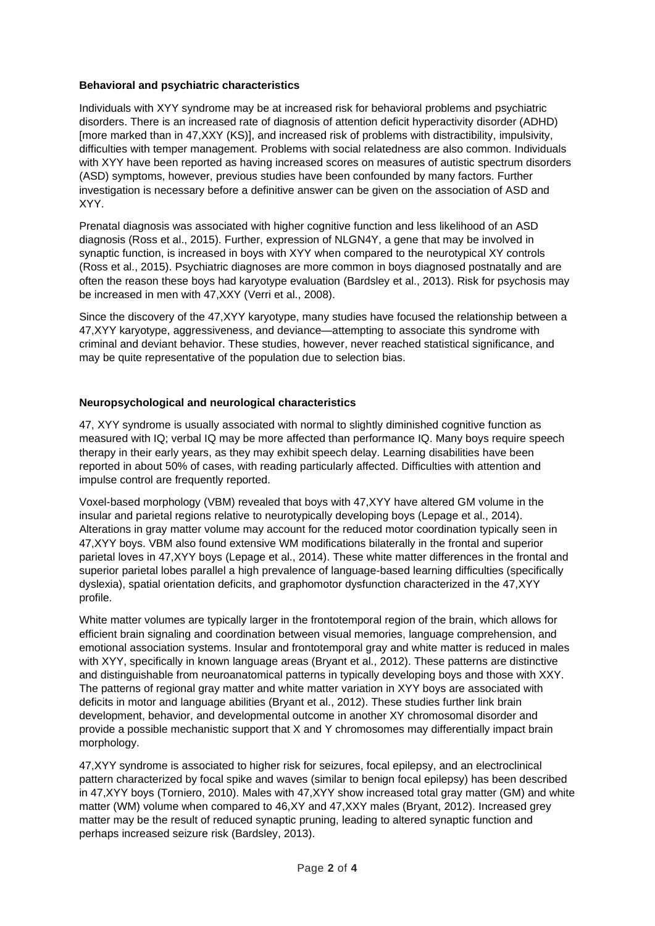## **Behavioral and psychiatric characteristics**

Individuals with XYY syndrome may be at increased risk for behavioral problems and psychiatric disorders. There is an increased rate of diagnosis of attention deficit hyperactivity disorder (ADHD) [more marked than in 47,XXY (KS)], and increased risk of problems with distractibility, impulsivity, difficulties with temper management. Problems with social relatedness are also common. Individuals with XYY have been reported as having increased scores on measures of autistic spectrum disorders (ASD) symptoms, however, previous studies have been confounded by many factors. Further investigation is necessary before a definitive answer can be given on the association of ASD and XYY.

Prenatal diagnosis was associated with higher cognitive function and less likelihood of an ASD diagnosis (Ross et al., 2015). Further, expression of NLGN4Y, a gene that may be involved in synaptic function, is increased in boys with XYY when compared to the neurotypical XY controls (Ross et al., 2015). Psychiatric diagnoses are more common in boys diagnosed postnatally and are often the reason these boys had karyotype evaluation (Bardsley et al., 2013). Risk for psychosis may be increased in men with 47,XXY (Verri et al., 2008).

Since the discovery of the 47,XYY karyotype, many studies have focused the relationship between a 47,XYY karyotype, aggressiveness, and deviance—attempting to associate this syndrome with criminal and deviant behavior. These studies, however, never reached statistical significance, and may be quite representative of the population due to selection bias.

#### **Neuropsychological and neurological characteristics**

47, XYY syndrome is usually associated with normal to slightly diminished cognitive function as measured with IQ; verbal IQ may be more affected than performance IQ. Many boys require speech therapy in their early years, as they may exhibit speech delay. Learning disabilities have been reported in about 50% of cases, with reading particularly affected. Difficulties with attention and impulse control are frequently reported.

Voxel-based morphology (VBM) revealed that boys with 47,XYY have altered GM volume in the insular and parietal regions relative to neurotypically developing boys (Lepage et al., 2014). Alterations in gray matter volume may account for the reduced motor coordination typically seen in 47,XYY boys. VBM also found extensive WM modifications bilaterally in the frontal and superior parietal loves in 47,XYY boys (Lepage et al., 2014). These white matter differences in the frontal and superior parietal lobes parallel a high prevalence of language-based learning difficulties (specifically dyslexia), spatial orientation deficits, and graphomotor dysfunction characterized in the 47,XYY profile.

White matter volumes are typically larger in the frontotemporal region of the brain, which allows for efficient brain signaling and coordination between visual memories, language comprehension, and emotional association systems. Insular and frontotemporal gray and white matter is reduced in males with XYY, specifically in known language areas (Bryant et al., 2012). These patterns are distinctive and distinguishable from neuroanatomical patterns in typically developing boys and those with XXY. The patterns of regional gray matter and white matter variation in XYY boys are associated with deficits in motor and language abilities (Bryant et al., 2012). These studies further link brain development, behavior, and developmental outcome in another XY chromosomal disorder and provide a possible mechanistic support that X and Y chromosomes may differentially impact brain morphology.

47,XYY syndrome is associated to higher risk for seizures, focal epilepsy, and an electroclinical pattern characterized by focal spike and waves (similar to benign focal epilepsy) has been described in 47,XYY boys (Torniero, 2010). Males with 47,XYY show increased total gray matter (GM) and white matter (WM) volume when compared to 46,XY and 47,XXY males (Bryant, 2012). Increased grey matter may be the result of reduced synaptic pruning, leading to altered synaptic function and perhaps increased seizure risk (Bardsley, 2013).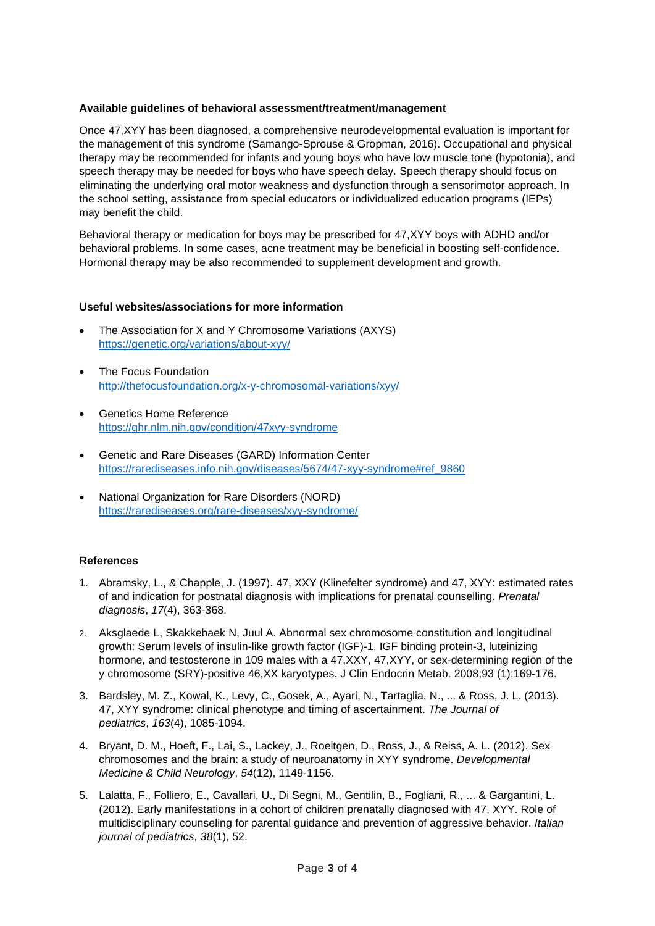### **Available guidelines of behavioral assessment/treatment/management**

Once 47,XYY has been diagnosed, a comprehensive neurodevelopmental evaluation is important for the management of this syndrome (Samango-Sprouse & Gropman, 2016). Occupational and physical therapy may be recommended for infants and young boys who have low muscle tone (hypotonia), and speech therapy may be needed for boys who have speech delay. Speech therapy should focus on eliminating the underlying oral motor weakness and dysfunction through a sensorimotor approach. In the school setting, assistance from special educators or individualized education programs (IEPs) may benefit the child.

Behavioral therapy or medication for boys may be prescribed for 47,XYY boys with ADHD and/or behavioral problems. In some cases, acne treatment may be beneficial in boosting self-confidence. Hormonal therapy may be also recommended to supplement development and growth.

## **Useful websites/associations for more information**

- The Association for X and Y Chromosome Variations (AXYS) <https://genetic.org/variations/about-xyy/>
- The Focus Foundation <http://thefocusfoundation.org/x-y-chromosomal-variations/xyy/>
- Genetics Home Reference <https://ghr.nlm.nih.gov/condition/47xyy-syndrome>
- Genetic and Rare Diseases (GARD) Information Center [https://rarediseases.info.nih.gov/diseases/5674/47-xyy-syndrome#ref\\_9860](https://rarediseases.info.nih.gov/diseases/5674/47-xyy-syndrome#ref_9860)
- National Organization for Rare Disorders (NORD) <https://rarediseases.org/rare-diseases/xyy-syndrome/>

#### **References**

- 1. Abramsky, L., & Chapple, J. (1997). 47, XXY (Klinefelter syndrome) and 47, XYY: estimated rates of and indication for postnatal diagnosis with implications for prenatal counselling. *Prenatal diagnosis*, *17*(4), 363-368.
- 2. Aksglaede L, Skakkebaek N, Juul A. Abnormal sex chromosome constitution and longitudinal growth: Serum levels of insulin-like growth factor (IGF)-1, IGF binding protein-3, luteinizing hormone, and testosterone in 109 males with a 47,XXY, 47,XYY, or sex-determining region of the y chromosome (SRY)-positive 46,XX karyotypes. J Clin Endocrin Metab. 2008;93 (1):169-176.
- 3. Bardsley, M. Z., Kowal, K., Levy, C., Gosek, A., Ayari, N., Tartaglia, N., ... & Ross, J. L. (2013). 47, XYY syndrome: clinical phenotype and timing of ascertainment. *The Journal of pediatrics*, *163*(4), 1085-1094.
- 4. Bryant, D. M., Hoeft, F., Lai, S., Lackey, J., Roeltgen, D., Ross, J., & Reiss, A. L. (2012). Sex chromosomes and the brain: a study of neuroanatomy in XYY syndrome. *Developmental Medicine & Child Neurology*, *54*(12), 1149-1156.
- 5. Lalatta, F., Folliero, E., Cavallari, U., Di Segni, M., Gentilin, B., Fogliani, R., ... & Gargantini, L. (2012). Early manifestations in a cohort of children prenatally diagnosed with 47, XYY. Role of multidisciplinary counseling for parental guidance and prevention of aggressive behavior. *Italian journal of pediatrics*, *38*(1), 52.